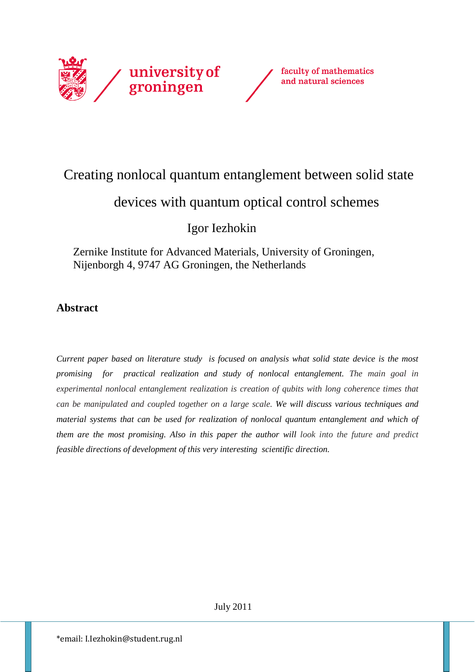



# Creating nonlocal quantum entanglement between solid state

# devices with quantum optical control schemes

Igor Iezhokin

 Zernike Institute for Advanced Materials, University of Groningen, Nijenborgh 4, 9747 AG Groningen, the Netherlands

## **Abstract**

*Current paper based on literature study is focused on analysis what solid state device is the most promising for practical realization and study of nonlocal entanglement. The main goal in experimental nonlocal entanglement realization is creation of qubits with long coherence times that can be manipulated and coupled together on a large scale. We will discuss various techniques and material systems that can be used for realization of nonlocal quantum entanglement and which of them are the most promising. Also in this paper the author will look into the future and predict feasible directions of development of this very interesting scientific direction.*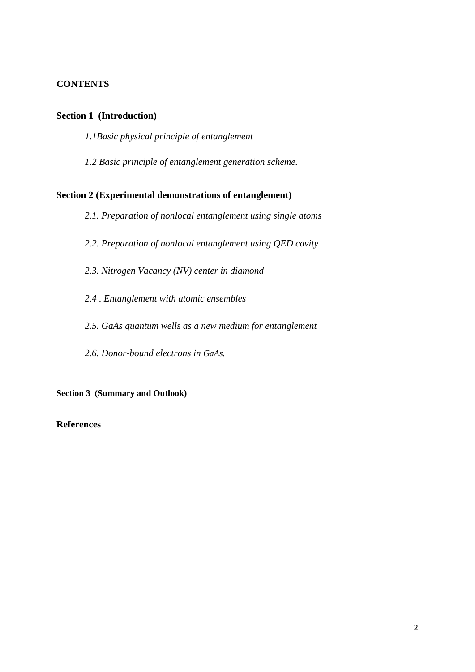## **CONTENTS**

## **Section 1 (Introduction)**

*1.1Basic physical principle of entanglement*

*1.2 Basic principle of entanglement generation scheme.*

## **Section 2 (Experimental demonstrations of entanglement)**

- *2.1. Preparation of nonlocal entanglement using single atoms*
- *2.2. Preparation of nonlocal entanglement using QED cavity*
- *2.3. Nitrogen Vacancy (NV) center in diamond*
- *2.4 . Entanglement with atomic ensembles*
- *2.5. GaAs quantum wells as a new medium for entanglement*
- *2.6. Donor-bound electrons in GaAs.*

**Section 3 (Summary and Outlook)**

## **References**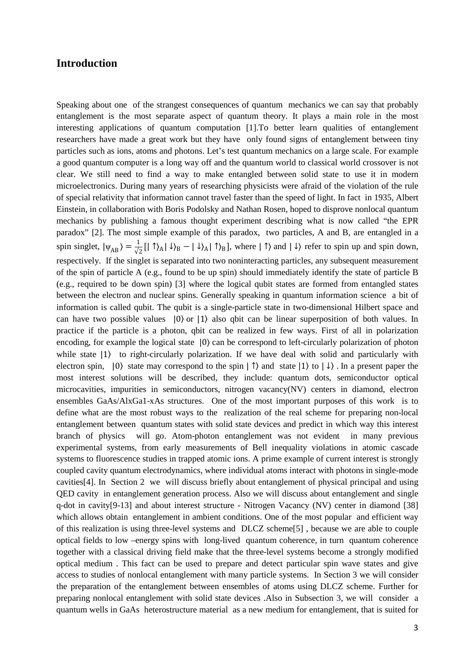## **Introduction**

Speaking about one of the strangest consequences of quantum mechanics we can say that probably entanglement is the most separate aspect of quantum theory. It plays a main role in the most interesting applications of quantum computation [1].To better learn qualities of entanglement researchers have made a great work but they have only found signs of entanglement between tiny particles such as ions, atoms and photons. Let's test quantum mechanics on a large scale. For example a good quantum computer is a long way off and the quantum world to classical world crossover is not clear. We still need to find a way to make entangled between solid state to use it in modern microelectronics. During many years of researching physicists were afraid of the violation of the rule of special relativity that information cannot travel faster than the speed of light. In fact in 1935, Albert Einstein, in collaboration with Boris Podolsky and Nathan Rosen, hoped to disprove nonlocal quantum mechanics by publishing a famous thought experiment describing what is now called "the EPR paradox" [2]. The most simple example of this paradox, two particles, A and B, are entangled in a spin singlet,  $|\psi_{AB}\rangle = \frac{1}{\sqrt{2}} [|\uparrow\rangle_A |\downarrow\rangle_B - |\downarrow\rangle_A |\uparrow\rangle_B]$ , where  $|\uparrow\rangle$  and  $|\downarrow\rangle$  refer to spin up and spin down, respectively. If the singlet is separated into two noninteracting particles, any subsequent measurement of the spin of particle A (e.g., found to be up spin) should immediately identify the state of particle B (e.g., required to be down spin) [3] where the logical qubit states are formed from entangled states between the electron and nuclear spins. Generally speaking in quantum information science a bit of information is called qubit. The qubit is a single-particle state in two-dimensional Hilbert space and can have two possible values  $|0\rangle$  or  $|1\rangle$  also qbit can be linear [superposition](http://en.wikipedia.org/wiki/Quantum_superposition) of both values. In practice if the particle is a photon, qbit can be realized in few ways. First of all in polarization encoding, for example the logical state  $|0\rangle$  can be correspond to left-circularly polarization of photon while state  $|1\rangle$  to right-circularly polarization. If we have deal with solid and particularly with electron spin,  $|0\rangle$  state may correspond to the spin  $|\uparrow\rangle$  and state  $|1\rangle$  to  $|\downarrow\rangle$ . In a present paper the most interest solutions will be described, they include: quantum dots, semiconductor optical microcavities, impurities in semiconductors, nitrogen vacancy(NV) centers in diamond, electron ensembles GaAs/AlxGa1-xAs structures. One of the most important purposes of this work is to define what are the most robust ways to the realization of the real scheme for preparing non-local entanglement between quantum states with solid state devices and predict in which way this interest branch of physics will go. Atom-photon entanglement was not evident in many previous experimental systems, from early measurements of Bell inequality violations in atomic cascade systems to fluorescence studies in trapped atomic ions. A prime example of current interest is strongly coupled cavity quantum electrodynamics, where individual atoms interact with photons in single-mode cavities[4]. In Section 2 we will discuss briefly about entanglement of physical principal and using QED cavity in entanglement generation process. Also we will discuss about entanglement and single q-dot in cavity[9-13] and about interest structure - Nitrogen Vacancy (NV) center in diamond [38] which allows obtain entanglement in ambient conditions. One of the most popular and efficient way of this realization is using three-level systems and DLCZ scheme[5] , because we are able to couple optical fields to low –energy spins with long-lived quantum coherence, in turn quantum coherence together with a classical driving field make that the three-level systems become a strongly modified optical medium . This fact can be used to prepare and detect particular spin wave states and give access to studies of nonlocal entanglement with many particle systems. In Section 3 we will consider the preparation of the entanglement between ensembles of atoms using DLCZ scheme. Further for preparing nonlocal entanglement with solid state devices .Also in Subsection 3, we will consider a quantum wells in GaAs heterostructure material as a new medium for entanglement, that is suited for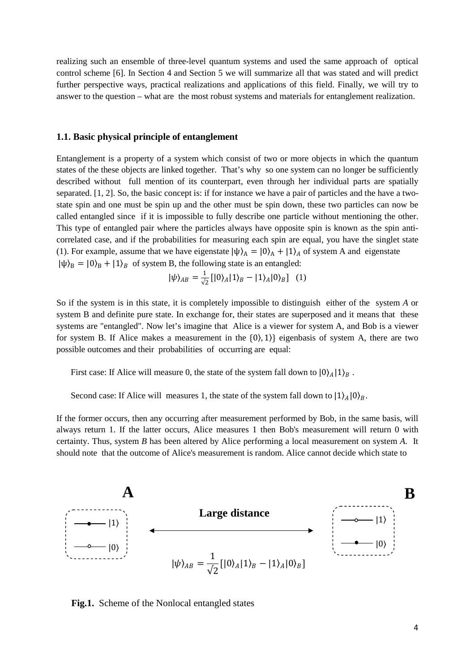realizing such an ensemble of three-level quantum systems and used the same approach of optical control scheme [6]. In Section 4 and Section 5 we will summarize all that was stated and will predict further perspective ways, practical realizations and applications of this field. Finally, we will try to answer to the question – what are the most robust systems and materials for entanglement realization.

#### **1.1. Basic physical principle of entanglement**

Entanglement is a property of a system which consist of two or more [objects](http://en.wikipedia.org/wiki/Physical_body) in which the [quantum](http://en.wikipedia.org/wiki/Quantum_state)  [states](http://en.wikipedia.org/wiki/Quantum_state) of the these objects are linked together. That's why so one system can no longer be sufficiently described without full mention of its counterpart, even through her individual parts are [spatially](http://en.wikipedia.org/wiki/Nonlocality)  [separated.](http://en.wikipedia.org/wiki/Nonlocality) [1, 2]. So, the basic concept is: if for instance we have a pair of particles and the have a twostate [spin](http://en.wikipedia.org/wiki/Spin_%28physics%29) and one must be spin up and the other must be spin down, these two particles can now be called entangled since if it is impossible to fully describe one particle without mentioning the other. This type of entangled pair where the particles always have opposite spin is known as the spin anticorrelated case, and if the probabilities for measuring each spin are equal, you have the [singlet state](http://en.wikipedia.org/wiki/Singlet_state) (1). For example, assume that we have eigenstate  $|\psi\rangle_A = |0\rangle_A + |1\rangle_A$  of system A and eigenstate  $|\psi\rangle_B = |0\rangle_B + |1\rangle_B$  of system B, the following state is an entangled:

$$
|\psi\rangle_{AB} = \frac{1}{\sqrt{2}}[|0\rangle_A|1\rangle_B - |1\rangle_A|0\rangle_B]
$$
 (1)

So if the system is in this state, it is completely impossible to distinguish either of the system *A* or system B and definite pure state. In exchange for, their states are superposed and it means that these systems are "entangled". Now let's imagine that Alice is a viewer for system A, and Bob is a viewer for system B. If Alice makes a measurement in the  $\{0\}$ , 1) eigenbasis of system A, there are two possible outcomes and their probabilities of occurring are equal:

First case: If Alice will measure 0, the state of the system fall down to  $|0\rangle_A|1\rangle_B$ .

Second case: If Alice will measures 1, the state of the system fall down to  $|1\rangle_A|0\rangle_B$ .

If the former occurs, then any occurring after measurement performed by Bob, in the same basis, will always return 1. If the latter occurs, Alice measures 1 then Bob's measurement will return 0 with certainty. Thus, system *B* has been altered by Alice performing a local measurement on system *A*. It should note that the outcome of Alice's measurement is random. Alice cannot decide which state to



**Fig.1.** Scheme of the Nonlocal entangled states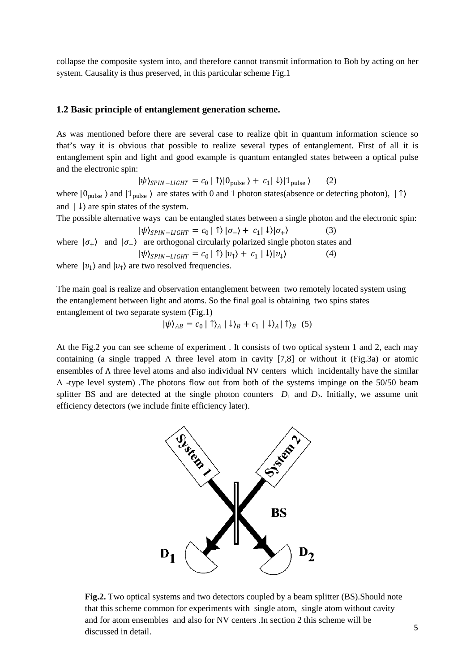collapse the composite system into, and therefore cannot transmit information to Bob by acting on her system. Causality is thus preserved, in this particular scheme Fig.1

## **1.2 Basic principle of entanglement generation scheme.**

As was mentioned before there are several case to realize qbit in quantum information science so that's way it is obvious that possible to realize several types of entanglement. First of all it is entanglement spin and light and good example is quantum entangled states between a optical pulse and the electronic spin:

$$
|\psi\rangle_{SPIN-LIGHT} = c_0 |\uparrow\rangle |0_{pulse}\rangle + c_1 |\downarrow\rangle |1_{pulse}\rangle \qquad (2)
$$

where  $|0_{pulse}\rangle$  and  $|1_{pulse}\rangle$  are states with 0 and 1 photon states(absence or detecting photon),  $|\uparrow\rangle$ and  $| \downarrow \rangle$  are spin states of the system.

The possible alternative ways can be entangled states between a single photon and the electronic spin:

$$
|\psi\rangle_{SPIN-LIGHT} = c_0 | \uparrow\rangle |\sigma_{-}\rangle + c_1 | \downarrow\rangle |\sigma_{+}\rangle \tag{3}
$$

where  $|\sigma_{+}\rangle$  and  $|\sigma_{-}\rangle$  are orthogonal circularly polarized single photon states and  $|\psi\rangle_{SPIN-LIGHT} = c_0 |\uparrow\rangle |v_{\uparrow}\rangle + c_1 |\downarrow\rangle |v_{\downarrow}\rangle$  (4)

where  $|v_{\downarrow}\rangle$  and  $|v_{\uparrow}\rangle$  are two resolved frequencies.

The main goal is realize and observation entanglement between two remotely located system using the entanglement between light and atoms. So the final goal is obtaining two spins states entanglement of two separate system (Fig.1)

$$
|\psi\rangle_{AB} = c_0 | \uparrow\rangle_A | \downarrow\rangle_B + c_1 | \downarrow\rangle_A | \uparrow\rangle_B
$$
 (5)

At the Fig.2 you can see scheme of experiment . It consists of two optical system 1 and 2, each may containing (a single trapped  $\Lambda$  three level atom in cavity [7,8] or without it (Fig.3a) or atomic ensembles of Λ three level atoms and also individual NV centers which incidentally have the similar Λ -type level system) .The photons flow out from both of the systems impinge on the 50/50 beam splitter BS and are detected at the single photon counters  $D_1$  and  $D_2$ . Initially, we assume unit efficiency detectors (we include finite efficiency later).



Fig.2. Two optical systems and two detectors coupled by a beam splitter (BS). Should note that this scheme common for experiments with single atom, single atom without cavity and for atom ensembles and also for NV centers .In section 2 this scheme will be discussed in detail.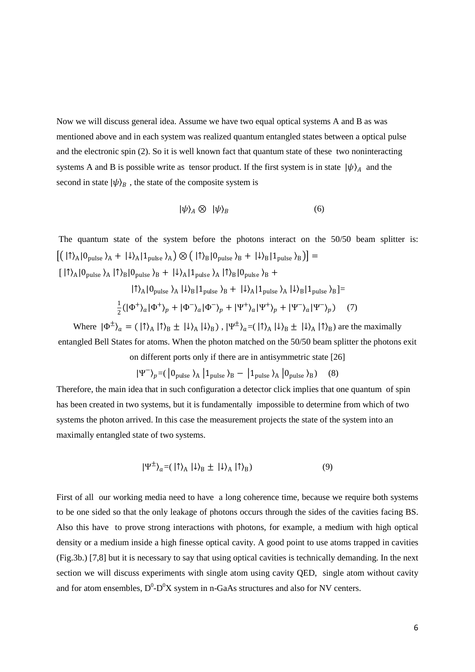Now we will discuss general idea. Assume we have two equal optical systems A and B as was mentioned above and in each system was realized quantum entangled states between a optical pulse and the electronic spin (2). So it is well known fact that quantum state of these two noninteracting systems A and B is possible write as [tensor product.](http://en.wikipedia.org/wiki/Tensor_product) If the first system is in state  $|\psi\rangle_A$  and the second in state  $|\psi\rangle_B$ , the state of the composite system is

$$
|\psi\rangle_A \otimes |\psi\rangle_B \tag{6}
$$

The quantum state of the system before the photons interact on the 50/50 beam splitter is:  $[(\vert \uparrow \rangle_A \vert 0_{pulse} \rangle_A + \vert \downarrow \rangle_A \vert 1_{pulse} \rangle_A) \otimes (\vert \uparrow \rangle_B \vert 0_{pulse} \rangle_B + \vert \downarrow \rangle_B \vert 1_{pulse} \rangle_B)] =$  $[\;|\!\uparrow\rangle_{A}|\!\uparrow\rangle_{\rm{pulse}}\rangle_{A}\;|\!\uparrow\rangle_{B}|\!\uparrow\rangle_{\rm{pulse}}\rangle_{B} \;+\; |\!\downarrow\rangle_{A}|\!\uparrow\rangle_{\rm{pulse}}\rangle_{A}\;|\!\uparrow\rangle_{B}|\!\uparrow\rangle_{\rm{pulse}}\rangle_{B} \;+$  $| \uparrow \rangle_A | 0_{\text{pulse}} \rangle_A | \downarrow \rangle_B | 1_{\text{pulse}} \rangle_B + | \downarrow \rangle_A | 1_{\text{pulse}} \rangle_A | \downarrow \rangle_B | 1_{\text{pulse}} \rangle_B] =$  $\frac{1}{2}(|\Phi^+\rangle_a|\Phi^+\rangle_p + |\Phi^-\rangle_a|\Phi^-\rangle_p + |\Psi^+\rangle_a|\Psi^+\rangle_p + |\Psi^-\rangle_a|\Psi^-\rangle_p)$  (7)

Where  $|\Phi^{\pm}\rangle_{a} = (|\uparrow\rangle_{A}|\uparrow\rangle_{B} \pm |\downarrow\rangle_{A}|\downarrow\rangle_{B})$ ,  $|\Psi^{\pm}\rangle_{a} = (|\uparrow\rangle_{A}|\downarrow\rangle_{B} \pm |\downarrow\rangle_{A}|\uparrow\rangle_{B})$  are the maximally entangled Bell States for atoms. When the photon matched on the 50/50 beam splitter the photons exit on different ports only if there are in antisymmetric state [26]

$$
|\Psi^{-}\rangle_{p} = (\begin{array}{cc} |0_{\text{pulse}}\rangle_{A} & |1_{\text{pulse}}\rangle_{B} - & |1_{\text{pulse}}\rangle_{A} & |0_{\text{pulse}}\rangle_{B}) \end{array} \tag{8}
$$

Therefore, the main idea that in such configuration a detector click implies that one quantum of spin has been created in two systems, but it is fundamentally impossible to determine from which of two systems the photon arrived. In this case the measurement projects the state of the system into an maximally entangled state of two systems.

$$
|\Psi^{\pm}\rangle_{a} = (|\uparrow\rangle_{A}|\downarrow\rangle_{B} \pm |\downarrow\rangle_{A}|\uparrow\rangle_{B})
$$
\n(9)

First of all our working media need to have a long coherence time, because we require both systems to be one sided so that the only leakage of photons occurs through the sides of the cavities facing BS. Also this have to prove strong interactions with photons, for example, a medium with high optical density or a medium inside a high finesse optical cavity. A good point to use atoms trapped in cavities (Fig.3b.) [7,8] but it is necessary to say that using optical cavities is technically demanding. In the next section we will discuss experiments with single atom using cavity QED, single atom without cavity and for atom ensembles,  $D^0$ - $D^0X$  system in n-GaAs structures and also for NV centers.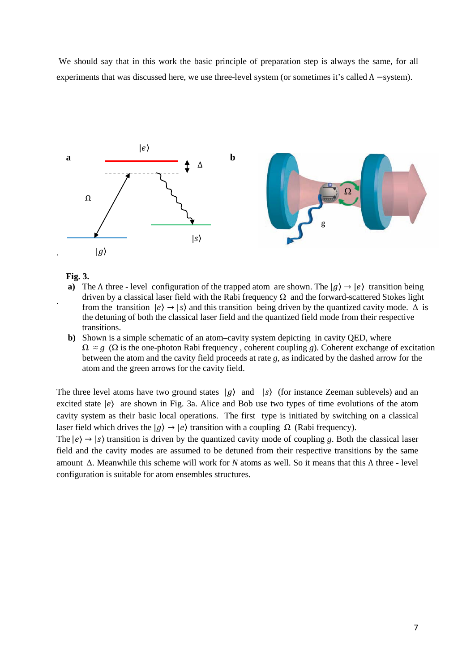We should say that in this work the basic principle of preparation step is always the same, for all experiments that was discussed here, we use three-level system (or sometimes it's called  $\Lambda$  –system).



**Fig. 3.** 

.

- **a)** The  $\Lambda$  three level configuration of the trapped atom are shown. The  $|q\rangle \rightarrow |e\rangle$  transition being driven by a classical laser field with the Rabi frequency  $\Omega$  and the forward-scattered Stokes light from the transition  $|e\rangle \rightarrow |s\rangle$  and this transition being driven by the quantized cavity mode.  $\Delta$  is the detuning of both the classical laser field and the quantized field mode from their respective transitions.
- **b**) Shown is a simple schematic of an atom–cavity system depicting in cavity QED, where  $\Omega \approx g$  ( $\Omega$  is the one-photon Rabi frequency, coherent coupling *g*). Coherent exchange of excitation between the atom and the cavity field proceeds at rate *g*, as indicated by the dashed arrow for the atom and the green arrows for the cavity field.

The three level atoms have two ground states  $|g\rangle$  and  $|s\rangle$  (for instance Zeeman sublevels) and an excited state  $|e\rangle$  are shown in Fig. 3a. Alice and Bob use two types of time evolutions of the atom cavity system as their basic local operations. The first type is initiated by switching on a classical laser field which drives the  $|q\rangle \rightarrow |e\rangle$  transition with a coupling  $\Omega$  (Rabi frequency).

The  $|e\rangle \rightarrow |s\rangle$  transition is driven by the quantized cavity mode of coupling *g*. Both the classical laser field and the cavity modes are assumed to be detuned from their respective transitions by the same amount Δ. Meanwhile this scheme will work for *N* atoms as well. So it means that this Λ three - level configuration is suitable for atom ensembles structures.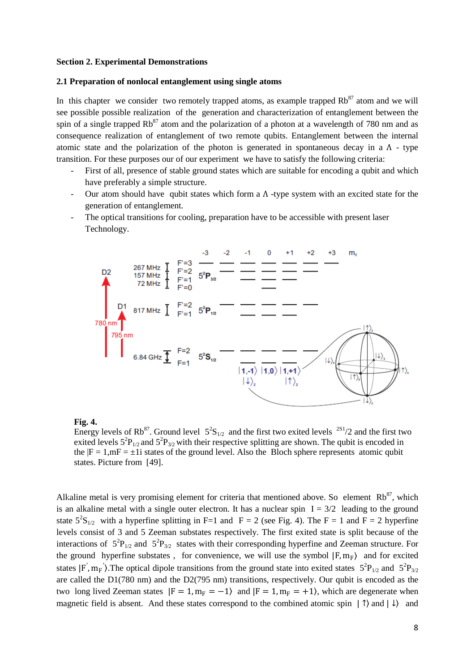#### **Section 2. Experimental Demonstrations**

#### **2.1 Preparation of nonlocal entanglement using single atoms**

In this chapter we consider two remotely trapped atoms, as example trapped  $Rb^{87}$  atom and we will see possible possible realization of the generation and characterization of entanglement between the spin of a single trapped  $Rb^{87}$  atom and the polarization of a photon at a wavelength of 780 nm and as consequence realization of entanglement of two remote qubits. Entanglement between the internal atomic state and the polarization of the photon is generated in spontaneous decay in a  $\Lambda$  - type transition. For these purposes our of our experiment we have to satisfy the following criteria:

- First of all, presence of stable ground states which are suitable for encoding a qubit and which have preferably a simple structure.
- Our atom should have qubit states which form a  $\Lambda$  -type system with an excited state for the generation of entanglement.
- The optical transitions for cooling, preparation have to be accessible with present laser Technology.



#### **Fig. 4.**

Energy levels of Rb<sup>87</sup>. Ground level  $5^2S_{1/2}$  and the first two exited levels <sup>2S1</sup>/2 and the first two exited levels  $5^{2}P_{1/2}$  and  $5^{2}P_{3/2}$  with their respective splitting are shown. The qubit is encoded in the  $|F = 1,mF = \pm 1$  states of the ground level. Also the Bloch sphere represents atomic qubit states. Picture from [49].

Alkaline metal is very promising element for criteria that mentioned above. So element  $Rb^{87}$ , which is an alkaline metal with a single outer electron. It has a nuclear spin  $I = 3/2$  leading to the ground state  $5^{2}S_{1/2}$  with a hyperfine splitting in F=1 and F = 2 (see Fig. 4). The F = 1 and F = 2 hyperfine levels consist of 3 and 5 Zeeman substates respectively. The first exited state is split because of the interactions of  $5^{2}P_{1/2}$  and  $5^{2}P_{3/2}$  states with their corresponding hyperfine and Zeeman structure. For the ground hyperfine substates, for convenience, we will use the symbol  $|F, m_F\rangle$  and for excited states  $|F', m_F'\rangle$ . The optical dipole transitions from the ground state into exited states  $5^2P_{1/2}$  and  $5^2P_{3/2}$ are called the D1(780 nm) and the D2(795 nm) transitions, respectively. Our qubit is encoded as the two long lived Zeeman states  $|F = 1, m_F = -1\rangle$  and  $|F = 1, m_F = +1\rangle$ , which are degenerate when magnetic field is absent. And these states correspond to the combined atomic spin  $|\uparrow\rangle$  and  $|\downarrow\rangle$  and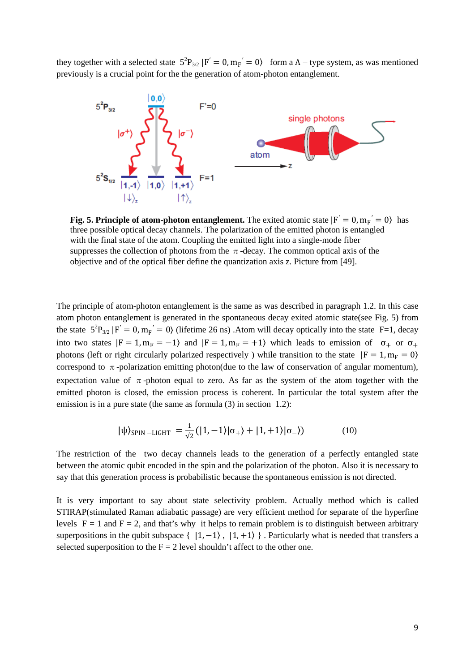they together with a selected state  $5^{2}P_{3/2} |F' = 0, m_{F'} = 0$  form a  $\Lambda$  – type system, as was mentioned previously is a crucial point for the the generation of atom-photon entanglement.



**Fig. 5. Principle of atom-photon entanglement.** The exited atomic state  $|F' = 0, m_F' = 0\rangle$  has three possible optical decay channels. The polarization of the emitted photon is entangled with the final state of the atom. Coupling the emitted light into a single-mode fiber suppresses the collection of photons from the  $\pi$ -decay. The common optical axis of the objective and of the optical fiber define the quantization axis z. Picture from [49].

The principle of atom-photon entanglement is the same as was described in paragraph 1.2. In this case atom photon entanglement is generated in the spontaneous decay exited atomic state(see Fig. 5) from the state  $5^{2}P_{3/2}$   $F' = 0$ ,  $m_{F}' = 0$ ) (lifetime 26 ns) . Atom will decay optically into the state F=1, decay into two states  $|F = 1, m_F = -1\rangle$  and  $|F = 1, m_F = +1\rangle$  which leads to emission of  $\sigma_+$  or  $\sigma_+$ photons (left or right circularly polarized respectively) while transition to the state  $|F = 1, m_F = 0\rangle$ correspond to  $\pi$ -polarization emitting photon(due to the law of conservation of angular momentum), expectation value of  $\pi$ -photon equal to zero. As far as the system of the atom together with the emitted photon is closed, the emission process is coherent. In particular the total system after the emission is in a pure state (the same as formula (3) in section 1.2):

$$
|\psi\rangle_{\text{SPIN}-\text{LIGHT}} = \frac{1}{\sqrt{2}}(|1,-1\rangle|\sigma_{+}\rangle + |1,+1\rangle|\sigma_{-}\rangle) \tag{10}
$$

The restriction of the two decay channels leads to the generation of a perfectly entangled state between the atomic qubit encoded in the spin and the polarization of the photon. Also it is necessary to say that this generation process is probabilistic because the spontaneous emission is not directed.

It is very important to say about state selectivity problem. Actually method which is called STIRAP(stimulated Raman adiabatic passage) are very efficient method for separate of the hyperfine levels  $F = 1$  and  $F = 2$ , and that's why it helps to remain problem is to distinguish between arbitrary superpositions in the qubit subspace {  $|1, -1\rangle$ ,  $|1, +1\rangle$  }. Particularly what is needed that transfers a selected superposition to the  $F = 2$  level shouldn't affect to the other one.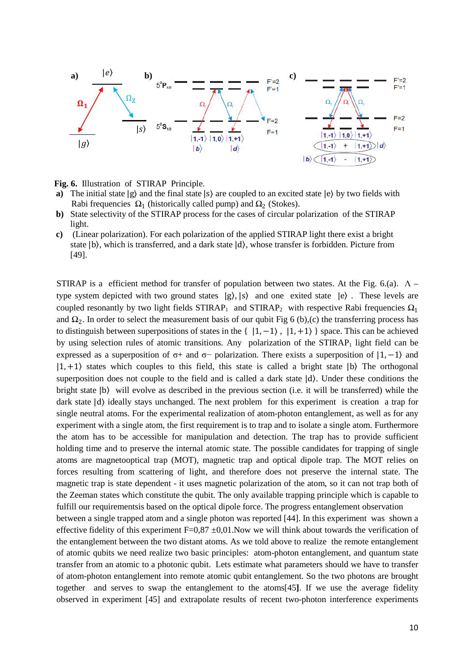

**Fig. 6.** Illustration of STIRAP Principle.

- **a)** The initial state  $|g\rangle$  and the final state  $|s\rangle$  are coupled to an excited state  $|e\rangle$  by two fields with Rabi frequencies  $Ω_1$  (historically called pump) and  $Ω_2$  (Stokes).<br>b) State selectivity of the STIRAP process for the cases of circular p
- **b)** State selectivity of the STIRAP process for the cases of circular polarization of the STIRAP light.
- **c)** (Linear polarization). For each polarization of the applied STIRAP light there exist a bright state  $|b\rangle$ , which is transferred, and a dark state  $|d\rangle$ , whose transfer is forbidden. Picture from [49].

STIRAP is a efficient method for transfer of population between two states. At the Fig. 6.(a).  $\Lambda$  – type system depicted with two ground states  $|g\rangle$ ,  $|s\rangle$  and one exited state  $|e\rangle$ . These levels are coupled resonantly by two light fields  $STIRAP_1$  and  $STIRAP_2$  with respective Rabi frequencies  $\Omega_1$ and  $\Omega_2$ . In order to select the measurement basis of our qubit Fig 6 (b),(c) the transferring process has to distinguish between superpositions of states in the  $\{ |1, -1\rangle, |1, +1\rangle \}$  space. This can be achieved by using selection rules of atomic transitions. Any polarization of the  $STIRAP<sub>1</sub>$  light field can be expressed as a superposition of  $\sigma$ + and  $\sigma$ − polarization. There exists a superposition of  $|1, -1\rangle$  and  $|1, +1\rangle$  states which couples to this field, this state is called a bright state  $|b\rangle$ . The orthogonal superposition does not couple to the field and is called a dark state  $|d\rangle$ . Under these conditions the bright state |b〉 will evolve as described in the previous section (i.e. it will be transferred) while the dark state  $|d\rangle$  ideally stays unchanged. The next problem for this experiment is creation a trap for single neutral atoms. For the experimental realization of atom-photon entanglement, as well as for any experiment with a single atom, the first requirement is to trap and to isolate a single atom. Furthermore the atom has to be accessible for manipulation and detection. The trap has to provide sufficient holding time and to preserve the internal atomic state. The possible candidates for trapping of single atoms are magnetooptical trap (MOT), magnetic trap and optical dipole trap. The MOT relies on forces resulting from scattering of light, and therefore does not preserve the internal state. The magnetic trap is state dependent - it uses magnetic polarization of the atom, so it can not trap both of the Zeeman states which constitute the qubit. The only available trapping principle which is capable to fulfill our requirementsis based on the optical dipole force. The progress entanglement observation between a single trapped atom and a single photon was reported [44]. In this experiment was shown a effective fidelity of this experiment  $F=0.87 \pm 0.01$ . Now we will think about towards the verification of the entanglement between the two distant atoms. As we told above to realize the remote entanglement of atomic qubits we need realize two basic principles: atom-photon entanglement, and quantum state transfer from an atomic to a photonic qubit. Lets estimate what parameters should we have to transfer of atom-photon entanglement into remote atomic qubit entanglement. So the two photons are brought together and serves to swap the entanglement to the atoms[45**]**. If we use the average fidelity observed in experiment [45] and extrapolate results of recent two-photon interference experiments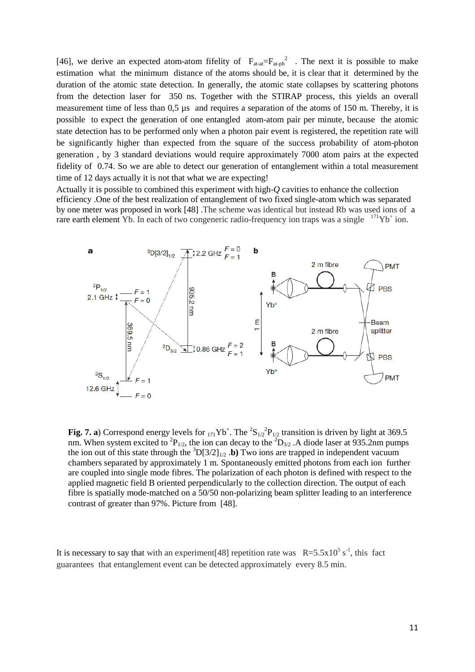[46], we derive an expected atom-atom fifelity of  $F_{\text{at-at}}=F_{\text{at-ph}}^2$ . The next it is possible to make estimation what the minimum distance of the atoms should be, it is clear that it determined by the duration of the atomic state detection. In generally, the atomic state collapses by scattering photons from the detection laser for 350 ns. Together with the STIRAP process, this yields an overall measurement time of less than 0,5  $\mu$ s and requires a separation of the atoms of 150 m. Thereby, it is possible to expect the generation of one entangled atom-atom pair per minute, because the atomic state detection has to be performed only when a photon pair event is registered, the repetition rate will be significantly higher than expected from the square of the success probability of atom-photon generation , by 3 standard deviations would require approximately 7000 atom pairs at the expected fidelity of 0.74. So we are able to detect our generation of entanglement within a total measurement time of 12 days actually it is not that what we are expecting!

Actually it is possible to combined this experiment with high-*Q* cavities to enhance the collection efficiency .One of the best realization of entanglement of two fixed single-atom which was separated by one meter was proposed in work [48] .The scheme was identical but instead Rb was used ions of a [rare earth element](http://en.wikipedia.org/wiki/Rare_earth_element) Yb. In each of two congeneric radio-frequency ion traps was a single  $171\text{Yb}^+$  ion.



**Fig. 7. a**) Correspond energy levels for  $_{171}Yb^+$ . The  $^2S_{1/2}{}^2P_{1/2}$  transition is driven by light at 369.5 nm. When system excited to <sup>2</sup>P<sub>1/2</sub>, the ion can decay to the <sup>2</sup>D<sub>3/2</sub>. A diode laser at 935.2nm pumps the ion out of this state through the  ${}^{3}D[3/2]_{1/2}$ . **b**) Two ions are trapped in independent vacuum chambers separated by approximately 1 m. Spontaneously emitted photons from each ion further are coupled into single mode fibres. The polarization of each photon is defined with respect to the applied magnetic field B oriented perpendicularly to the collection direction. The output of each fibre is spatially mode-matched on a 50/50 non-polarizing beam splitter leading to an interference contrast of greater than 97%. Picture from [48].

It is necessary to say that with an experiment [48] repetition rate was  $R=5.5x10^5 s^{-1}$ , this fact guarantees that entanglement event can be detected approximately every 8.5 min.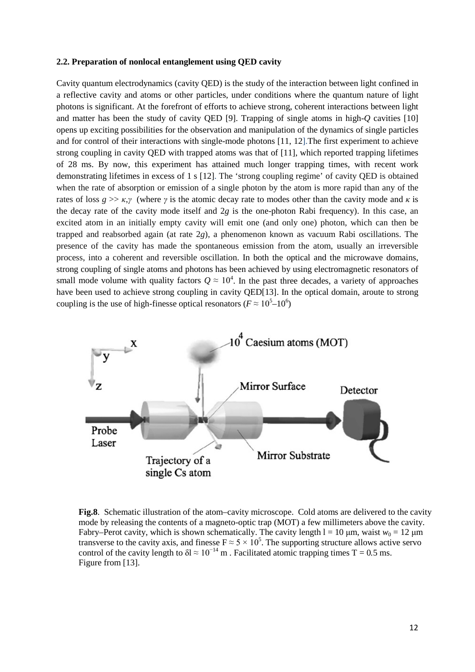#### **2.2. Preparation of nonlocal entanglement using QED cavity**

Cavity [quantum electrodynamics](http://en.wikipedia.org/wiki/Quantum_electrodynamics) (cavity QED) is the study of the interaction between light confined in a reflective cavity and atoms or other particles, under conditions where the quantum nature of light [photons](http://en.wikipedia.org/wiki/Photon) is significant. At the forefront of efforts to achieve strong, coherent interactions between light and matter has been the study of cavity QED [9]. Trapping of single atoms in high-*Q* cavities [10] opens up exciting possibilities for the observation and manipulation of the dynamics of single particles and for control of their interactions with single-mode photons [11, 12].The first experiment to achieve strong coupling in cavity QED with trapped atoms was that of [11], which reported trapping lifetimes of 28 ms. By now, this experiment has attained much longer trapping times, with recent work demonstrating lifetimes in excess of 1 s [12]. The 'strong coupling regime' of cavity QED is obtained when the rate of absorption or emission of a single photon by the atom is more rapid than any of the rates of loss  $g \gg \kappa$ ,*γ* (where *γ* is the atomic decay rate to modes other than the cavity mode and *κ* is the decay rate of the cavity mode itself and 2*g* is the one-photon Rabi frequency). In this case, an excited atom in an initially empty cavity will emit one (and only one) photon, which can then be trapped and reabsorbed again (at rate 2*g*), a phenomenon known as vacuum Rabi oscillations. The presence of the cavity has made the spontaneous emission from the atom, usually an irreversible process, into a coherent and reversible oscillation. In both the optical and the microwave domains, strong coupling of single atoms and photons has been achieved by using electromagnetic resonators of small mode volume with quality factors  $Q \approx 10^4$ . In the past three decades, a variety of approaches have been used to achieve strong coupling in cavity QED[13]. In the optical domain, aroute to strong coupling is the use of high-finesse optical resonators ( $F \approx 10^{5} - 10^{6}$ )



**Fig.8**. Schematic illustration of the atom–cavity microscope. Cold atoms are delivered to the cavity mode by releasing the contents of a magneto-optic trap (MOT) a few millimeters above the cavity. Fabry–Perot cavity, which is shown schematically. The cavity length  $l = 10 \mu m$ , waist  $w_0 = 12 \mu m$ transverse to the cavity axis, and finesse  $F \approx 5 \times 10^5$ . The supporting structure allows active servo control of the cavity length to  $\delta l \approx 10^{-14}$  m. Facilitated atomic trapping times T = 0.5 ms. Figure from [13].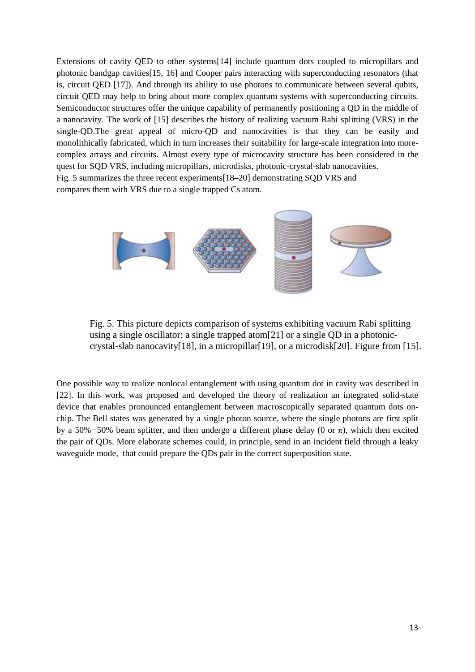Extensions of cavity QED to other systems[14] include quantum dots coupled to micropillars and photonic bandgap cavities[15, 16] and Cooper pairs interacting with superconducting resonators (that is, circuit QED [17]). And through its ability to use photons to communicate between several qubits, circuit QED may help to bring about more complex quantum systems with superconducting circuits*.*  Semiconductor structures offer the unique capability of permanently positioning a QD in the middle of a nanocavity. The work of [15] describes the history of realizing vacuum Rabi splitting (VRS) in the single-QD.The great appeal of micro-QD and nanocavities is that they can be easily and monolithically fabricated, which in turn increases their suitability for large-scale integration into morecomplex arrays and circuits. Almost every type of microcavity structure has been considered in the quest for SQD VRS, including micropillars, microdisks, photonic-crystal-slab nanocavities. Fig. 5 summarizes the three recent experiments[18–20] demonstrating SQD VRS and compares them with VRS due to a single trapped Cs atom.



Fig. 5. This picture depicts comparison of systems exhibiting vacuum Rabi splitting using a single oscillator: a single trapped atom[21] or a single QD in a photoniccrystal-slab nanocavity[18], in a micropillar[19], or a microdisk[20]. Figure from [15].

One possible way to realize nonlocal entanglement with using quantum dot in cavity was described in [22]. In this work, was proposed and developed the theory of realization an integrated solid-state device that enables pronounced entanglement between macroscopically separated quantum dots onchip. The Bell states was generated by a single photon source, where the single photons are first split by a 50%*−*50% beam splitter, and then undergo a different phase delay (0 or π), which then excited the pair of QDs. More elaborate schemes could, in principle, send in an incident field through a leaky waveguide mode, that could prepare the QDs pair in the correct superposition state.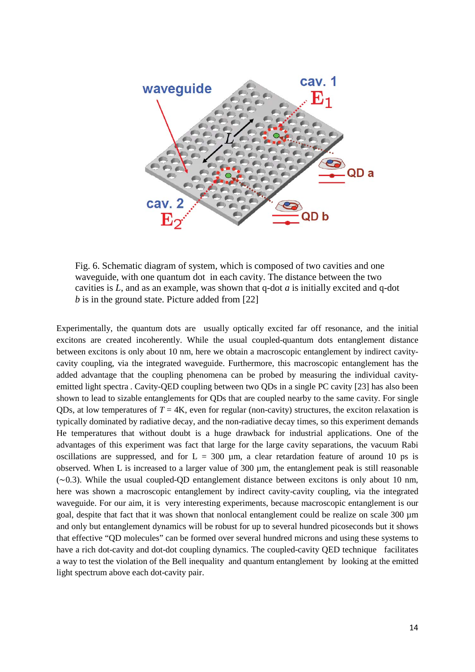

Fig. 6. Schematic diagram of system, which is composed of two cavities and one waveguide, with one quantum dot in each cavity. The distance between the two cavities is *L*, and as an example, was shown that q-dot *a* is initially excited and q-dot *b* is in the ground state. Picture added from [22]

Experimentally, the quantum dots are usually optically excited far off resonance, and the initial excitons are created incoherently. While the usual coupled-quantum dots entanglement distance between excitons is only about 10 nm, here we obtain a macroscopic entanglement by indirect cavitycavity coupling, via the integrated waveguide. Furthermore, this macroscopic entanglement has the added advantage that the coupling phenomena can be probed by measuring the individual cavityemitted light spectra . Cavity-QED coupling between two QDs in a single PC cavity [23] has also been shown to lead to sizable entanglements for QDs that are coupled nearby to the same cavity. For single ODs, at low temperatures of  $T = 4K$ , even for regular (non-cavity) structures, the exciton relaxation is typically dominated by radiative decay, and the non-radiative decay times, so this experiment demands He temperatures that without doubt is a huge drawback for industrial applications. One of the advantages of this experiment was fact that large for the large cavity separations, the vacuum Rabi oscillations are suppressed, and for  $L = 300 \mu m$ , a clear retardation feature of around 10 ps is observed. When L is increased to a larger value of 300 µm, the entanglement peak is still reasonable  $(\sim 0.3)$ . While the usual coupled-OD entanglement distance between excitons is only about 10 nm, here was shown a macroscopic entanglement by indirect cavity-cavity coupling, via the integrated waveguide. For our aim, it is very interesting experiments, because macroscopic entanglement is our goal, despite that fact that it was shown that nonlocal entanglement could be realize on scale 300 µm and only but entanglement dynamics will be robust for up to several hundred picoseconds but it shows that effective "QD molecules" can be formed over several hundred microns and using these systems to have a rich dot-cavity and dot-dot coupling dynamics. The coupled-cavity OED technique facilitates a way to test the violation of the Bell inequality and quantum entanglement by looking at the emitted light spectrum above each dot-cavity pair.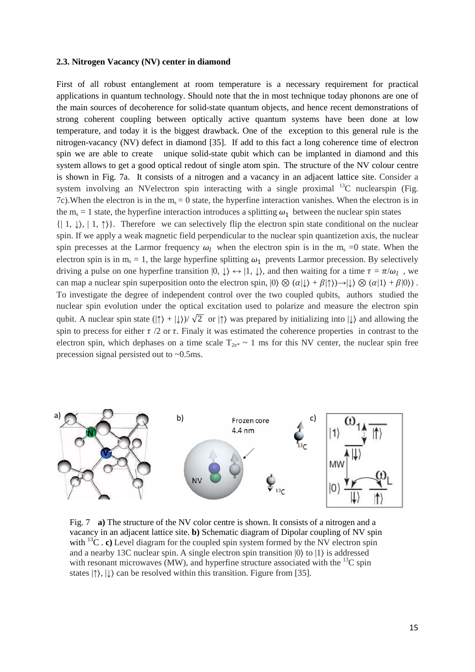#### **2.3. Nitrogen Vacancy (NV) center in diamond**

First of all robust entanglement at room temperature is a necessary requirement for practical applications in quantum technology. Should note that the in most technique today phonons are one of the main sources of decoherence for solid-state quantum objects, and hence recent demonstrations of strong coherent coupling between optically active quantum systems have been done at low temperature, and today it is the biggest drawback. One of the exception to this general rule is the nitrogen-vacancy (NV) defect in diamond [35]. If add to this fact a long coherence time of electron spin we are able to create unique solid-state qubit which can be implanted in diamond and this system allows to get a good optical redout of single atom spin. The structure of the NV colour centre is shown in Fig. 7a. It consists of a nitrogen and a vacancy in an adjacent lattice site. Consider a system involving an NVelectron spin interacting with a single proximal  $^{13}$ C nuclearspin (Fig. 7c). When the electron is in the  $m_s = 0$  state, the hyperfine interaction vanishes. When the electron is in the m<sub>s</sub> = 1 state, the hyperfine interaction introduces a splitting  $\omega_1$  between the nuclear spin states  $\{|1, \downarrow\rangle, |1, \uparrow\rangle\}.$  Therefore we can selectively flip the electron spin state conditional on the nuclear spin. If we apply a weak magnetic field perpendicular to the nuclear spin quantizetion axis, the nuclear spin precesses at the Larmor frequency  $\omega_l$  when the electron spin is in the m<sub>s</sub> =0 state. When the electron spin is in  $m_s = 1$ , the large hyperfine splitting  $\omega_1$  prevents Larmor precession. By selectively

driving a pulse on one hyperfine transition  $|0, \downarrow\rangle \leftrightarrow |1, \downarrow\rangle$ , and then waiting for a time  $\tau = \pi/\omega_l$ , we can map a nuclear spin superposition onto the electron spin,  $|0\rangle \otimes (a|\downarrow\rangle + \beta|\uparrow\rangle) \rightarrow |\downarrow\rangle \otimes (a|1\rangle + \beta|0\rangle)$ . To investigate the degree of independent control over the two coupled qubits, authors studied the nuclear spin evolution under the optical excitation used to polarize and measure the electron spin qubit. A nuclear spin state ( $|\uparrow\rangle + |\downarrow\rangle$ )/  $\sqrt{2}$  or  $|\uparrow\rangle$  was prepared by initializing into  $|\downarrow\rangle$  and allowing the spin to precess for either  $\tau/2$  or  $\tau$ . Finaly it was estimated the coherence properties in contrast to the electron spin, which dephases on a time scale  $T_{2e^*} \sim 1$  ms for this NV center, the nuclear spin free precession signal persisted out to ~0.5ms.



Fig. 7 **a)** The structure of the NV color centre is shown. It consists of a nitrogen and a vacancy in an adjacent lattice site. **b)** Schematic diagram of Dipolar coupling of NV spin with  ${}^{13}C$ . **c**) Level diagram for the coupled spin system formed by the NV electron spin and a nearby 13C nuclear spin. A single electron spin transition |0〉 to |1〉 is addressed with resonant microwaves (MW), and hyperfine structure associated with the  ${}^{13}C$  spin states  $|\uparrow\rangle$ ,  $|\downarrow\rangle$  can be resolved within this transition. Figure from [35].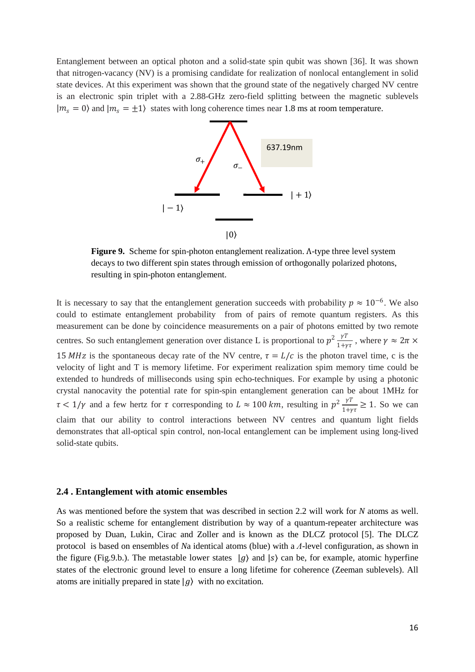Entanglement between an optical photon and a solid-state spin qubit was shown [36]. It was shown that nitrogen-vacancy (NV) is a promising candidate for realization of nonlocal entanglement in solid state devices. At this experiment was shown that the ground state of the negatively charged NV centre is an electronic spin triplet with a 2.88-GHz zero-field splitting between the magnetic sublevels  $|m_s = 0\rangle$  and  $|m_s = \pm 1\rangle$  states with long coherence times near 1.8 ms at room temperature.



**Figure 9.** Scheme for spin-photon entanglement realization. Λ-type three level system decays to two different spin states through emission of orthogonally polarized photons, resulting in spin-photon entanglement.

It is necessary to say that the entanglement generation succeeds with probability  $p \approx 10^{-6}$ . We also could to estimate entanglement probability from of pairs of remote quantum registers. As this measurement can be done by coincidence measurements on a pair of photons emitted by two remote centres. So such entanglement generation over distance L is proportional to  $p^2 \frac{\gamma T}{1+\gamma \tau}$ , where  $\gamma \approx 2\pi \times$ 15 MHz is the spontaneous decay rate of the NV centre,  $\tau = L/c$  is the photon travel time, c is the velocity of light and T is memory lifetime. For experiment realization spim memory time could be extended to hundreds of milliseconds using spin echo-techniques. For example by using a photonic crystal nanocavity the potential rate for spin-spin entanglement generation can be about 1MHz for  $\tau < 1/\gamma$  and a few hertz for  $\tau$  corresponding to  $L \approx 100 \ km$ , resulting in  $p^2 \frac{\gamma T}{1+\gamma \tau} \ge 1$ . So we can claim that our ability to control interactions between NV centres and quantum light fields demonstrates that all-optical spin control, non-local entanglement can be implement using long-lived solid-state qubits.

#### **2.4 . Entanglement with atomic ensembles**

As was mentioned before the system that was described in section 2.2 will work for *N* atoms as well. So a realistic scheme for entanglement distribution by way of a quantum-repeater architecture was proposed by Duan, Lukin, Cirac and Zoller and is known as the DLCZ protocol [5]. The DLCZ protocol is based on ensembles of *N*a identical atoms (blue) with a *Λ*-level configuration, as shown in the figure (Fig.9.b.). The metastable lower states  $|g\rangle$  and  $|s\rangle$  can be, for example, atomic hyperfine states of the electronic ground level to ensure a long lifetime for coherence (Zeeman sublevels). All atoms are initially prepared in state  $|g\rangle$  with no excitation.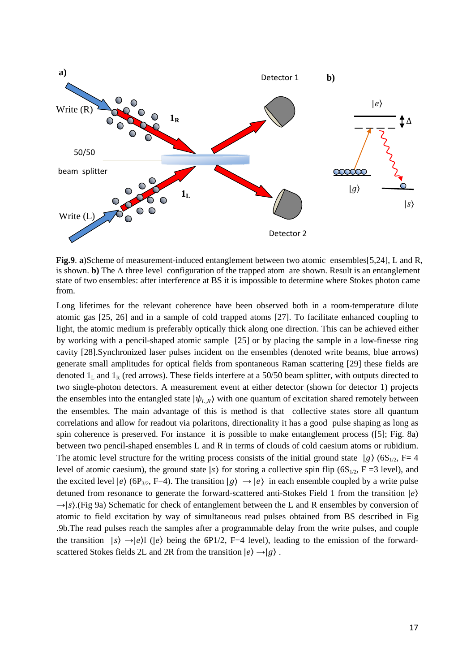

**Fig.9. a)Scheme of measurement-induced entanglement between two atomic ensembles[5,24], L and R,** is shown. **b)** The Λ three level configuration of the trapped atom are shown. Result is an entanglement state of two ensembles: after interference at BS it is impossible to determine where Stokes photon came from.

Long lifetimes for the relevant coherence have been observed both in a room-temperature dilute atomic gas [25, 26] and in a sample of cold trapped atoms [27]. To facilitate enhanced coupling to light, the atomic medium is preferably optically thick along one direction. This can be achieved either by working with a pencil-shaped atomic sample [25] or by placing the sample in a low-finesse ring cavity [28].Synchronized laser pulses incident on the ensembles (denoted write beams, blue arrows) generate small amplitudes for optical fields from spontaneous Raman scattering [29] these fields are denoted  $1_L$  and  $1_R$  (red arrows). These fields interfere at a 50/50 beam splitter, with outputs directed to two single-photon detectors. A measurement event at either detector (shown for detector 1) projects the ensembles into the entangled state  $|\psi_{LR}\rangle$  with one quantum of excitation shared remotely between the ensembles. The main advantage of this is method is that collective states store all quantum correlations and allow for readout via polaritons, directionality it has a good pulse shaping as long as spin coherence is preserved. For instance it is possible to make entanglement process ([5]; Fig. 8a) between two pencil-shaped ensembles L and R in terms of clouds of cold caesium atoms or rubidium. The atomic level structure for the writing process consists of the initial ground state  $|g\rangle$  (6S<sub>1/2</sub>, F= 4 level of atomic caesium), the ground state  $|s\rangle$  for storing a collective spin flip (6S<sub>1/2</sub>, F =3 level), and the excited level  $|e\rangle$  (6P<sub>3/2</sub>, F=4). The transition  $|g\rangle \rightarrow |e\rangle$  in each ensemble coupled by a write pulse detuned from resonance to generate the forward-scattered anti-Stokes Field 1 from the transition  $|e\rangle$  $\rightarrow$ |s).(Fig 9a) Schematic for check of entanglement between the L and R ensembles by conversion of atomic to field excitation by way of simultaneous read pulses obtained from BS described in Fig .9b.The read pulses reach the samples after a programmable delay from the write pulses, and couple the transition  $|s\rangle \rightarrow |e\rangle$  ( $|e\rangle$  being the 6P1/2, F=4 level), leading to the emission of the forwardscattered Stokes fields 2L and 2R from the transition  $|e\rangle \rightarrow |g\rangle$ .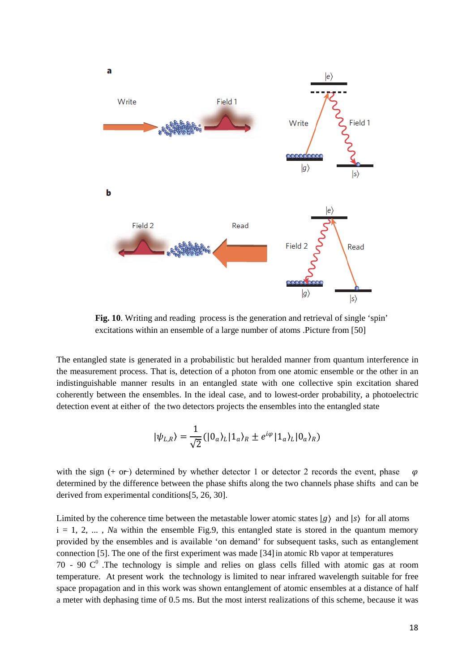

Fig. 10. Writing and reading process is the generation and retrieval of single 'spin' excitations within an ensemble of a large number of atoms .Picture from [50]

The entangled state is generated in a probabilistic but heralded manner from quantum interference in the measurement process. That is, detection of a photon from one atomic ensemble or the other in an indistinguishable manner results in an entangled state with one collective spin excitation shared coherently between the ensembles. In the ideal case, and to lowest-order probability, a photoelectric detection event at either of the two detectors projects the ensembles into the entangled state

$$
|\psi_{L,R}\rangle = \frac{1}{\sqrt{2}} (|0_a\rangle_L |1_a\rangle_R \pm e^{i\varphi} |1_a\rangle_L |0_a\rangle_R)
$$

with the sign  $(+ or^-)$  determined by whether detector 1 or detector 2 records the event, phase  $\omega$ determined by the difference between the phase shifts along the two channels phase shifts and can be derived from experimental conditions[5, 26, 30].

Limited by the coherence time between the metastable lower atomic states  $|g\rangle$  and  $|s\rangle$  for all atoms  $i = 1, 2, \ldots$ , *Na* within the ensemble Fig.9, this entangled state is stored in the quantum memory provided by the ensembles and is available 'on demand' for subsequent tasks, such as entanglement connection [5]. The one of the first experiment was made [34]in atomic Rb vapor at temperatures 70 - 90  $C^0$ . The technology is simple and relies on glass cells filled with atomic gas at room temperature. At present work the technology is limited to near infrared wavelength suitable for free space propagation and in this work was shown entanglement of atomic ensembles at a distance of half a meter with dephasing time of 0.5 ms. But the most interst realizations of this scheme, because it was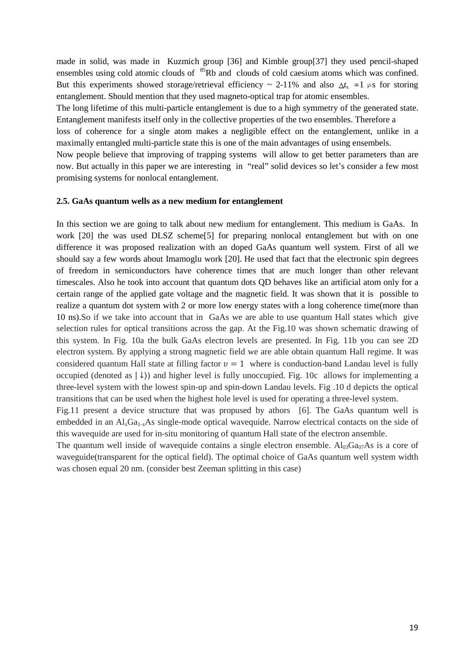made in solid, was made in Kuzmich group [36] and Kimble group[37] they used pencil-shaped ensembles using cold atomic clouds of  ${}^{85}Rb$  and clouds of cold caesium atoms which was confined. But this experiments showed storage/retrieval efficiency  $\sim$  2-11% and also  $\Delta t_s \approx 1 \mu s$  for storing entanglement. Should mention that they used magneto-optical trap for atomic ensembles.

The long lifetime of this multi-particle entanglement is due to a high symmetry of the generated state. Entanglement manifests itself only in the collective properties of the two ensembles. Therefore a

loss of coherence for a single atom makes a negligible effect on the entanglement, unlike in a maximally entangled multi-particle state this is one of the main advantages of using ensembels.

Now people believe that improving of trapping systems will allow to get better parameters than are now. But actually in this paper we are interesting in "real" solid devices so let's consider a few most promising systems for nonlocal entanglement.

#### **2.5. GaAs quantum wells as a new medium for entanglement**

In this section we are going to talk about new medium for entanglement. This medium is GaAs. In work [20] the was used DLSZ scheme[5] for preparing nonlocal entanglement but with on one difference it was proposed realization with an doped GaAs quantum well system. First of all we should say a few words about Imamoglu work [20]. He used that fact that the electronic spin degrees of freedom in semiconductors have coherence times that are much longer than other relevant timescales. Also he took into account that quantum dots QD behaves like an artificial atom only for a certain range of the applied gate voltage and the magnetic field. It was shown that it is possible to realize a quantum dot system with 2 or more low energy states with a long coherence time(more than 10 ns).So if we take into account that in GaAs we are able to use quantum Hall states which give selection rules for optical transitions across the gap. At the Fig.10 was shown schematic drawing of this system. In Fig. 10a the bulk GaAs electron levels are presented. In Fig. 11b you can see 2D electron system. By applying a strong magnetic field we are able obtain quantum Hall regime. It was considered quantum Hall state at filling factor  $v = 1$  where is conduction-band Landau level is fully occupied (denoted as  $|\downarrow\rangle$ ) and higher level is fully unoccupied. Fig. 10c allows for implementing a three-level system with the lowest spin-up and spin-down Landau levels. Fig .10 d depicts the optical transitions that can be used when the highest hole level is used for operating a three-level system.

Fig.11 present a device structure that was propused by athors [6]. The GaAs quantum well is embedded in an  $Al_xGa_{1-x}As$  single-mode optical wavequide. Narrow electrical contacts on the side of this wavequide are used for in-situ monitoring of quantum Hall state of the electron ansemble.

The quantum well inside of wavequide contains a single electron ensemble.  $Al_{03}Ga_{07}As$  is a core of waveguide(transparent for the optical field). The optimal choice of GaAs quantum well system width was chosen equal 20 nm. (consider best Zeeman splitting in this case)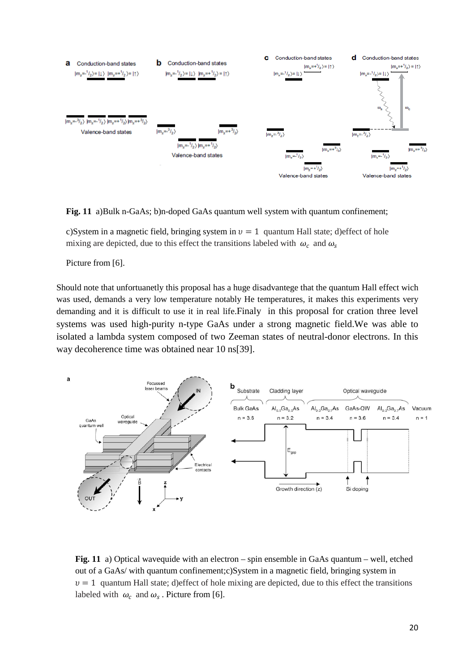

**Fig. 11** a)Bulk n-GaAs; b)n-doped GaAs quantum well system with quantum confinement;

c)System in a magnetic field, bringing system in  $v = 1$  quantum Hall state; d)effect of hole mixing are depicted, due to this effect the transitions labeled with  $\omega_c$  and  $\omega_s$ 

Picture from [6].

Should note that unfortuanetly this proposal has a huge disadvantege that the quantum Hall effect wich was used, demands a very low temperature notably He temperatures, it makes this experiments very demanding and it is difficult to use it in real life.Finaly in this proposal for cration three level systems was used high-purity n-type GaAs under a strong magnetic field.We was able to isolated a lambda system composed of two Zeeman states of neutral-donor electrons. In this way decoherence time was obtained near 10 ns[39].



**Fig. 11** a) Optical wavequide with an electron – spin ensemble in GaAs quantum – well, etched out of a GaAs/ with quantum confinement;c)System in a magnetic field, bringing system in  $v = 1$  quantum Hall state; d)effect of hole mixing are depicted, due to this effect the transitions labeled with  $\omega_c$  and  $\omega_s$ . Picture from [6].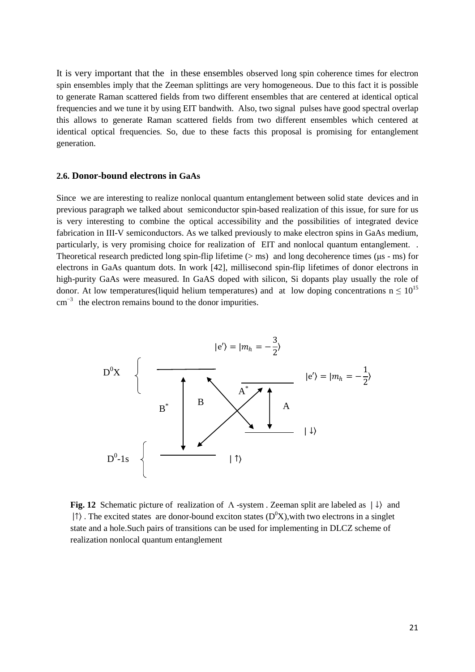It is very important that the in these ensembles observed long spin coherence times for electron spin ensembles imply that the Zeeman splittings are very homogeneous. Due to this fact it is possible to generate Raman scattered fields from two different ensembles that are centered at identical optical frequencies and we tune it by using EIT bandwith. Also, two signal pulses have good spectral overlap this allows to generate Raman scattered fields from two different ensembles which centered at identical optical frequencies. So, due to these facts this proposal is promising for entanglement generation.

#### **2.6. Donor-bound electrons in GaAs**

Since we are interesting to realize nonlocal quantum entanglement between solid state devices and in previous paragraph we talked about semiconductor spin-based realization of this issue, for sure for us is very interesting to combine the optical accessibility and the possibilities of integrated device fabrication in III-V semiconductors. As we talked previously to make electron spins in GaAs medium, particularly, is very promising choice for realization of EIT and nonlocal quantum entanglement. . Theoretical research predicted long spin-flip lifetime (> ms) and long decoherence times (μs - ms) for electrons in GaAs quantum dots. In work [42], millisecond spin-flip lifetimes of donor electrons in high-purity GaAs were measured. In GaAS doped with silicon, Si dopants play usually the role of donor. At low temperatures(liquid helium temperatures) and at low doping concentrations  $n \leq 10^{15}$ cm<sup>−</sup>3 the electron remains bound to the donor impurities.



**Fig. 12** Schematic picture of realization of Λ -system . Zeeman split are labeled as | ↓〉 and  $| \uparrow \rangle$ . The excited states are donor-bound exciton states (D<sup>0</sup>X), with two electrons in a singlet state and a hole.Such pairs of transitions can be used for implementing in DLCZ scheme of realization nonlocal quantum entanglement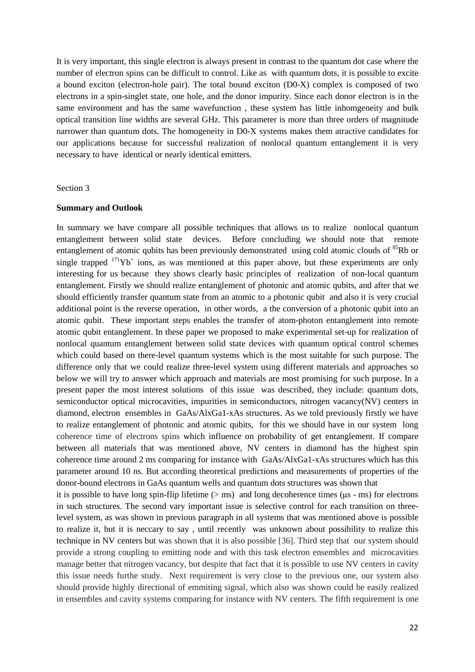It is very important, this single electron is always present in contrast to the quantum dot case where the number of electron spins can be difficult to control. Like as with quantum dots, it is possible to excite a bound exciton (electron-hole pair). The total bound exciton (D0-X) complex is composed of two electrons in a spin-singlet state, one hole, and the donor impurity. Since each donor electron is in the same environment and has the same wavefunction , these system has little inhomgeneity and bulk optical transition line widths are several GHz. This parameter is more than three orders of magnitude narrower than quantum dots. The homogeneity in D0-X systems makes them atractive candidates for our applications because for successful realization of nonlocal quantum entanglement it is very necessary to have identical or nearly identical emitters.

#### Section 3

#### **Summary and Outlook**

In summary we have compare all possible techniques that allows us to realize nonlocal quantum entanglement between solid state devices. Before concluding we should note that remote entanglement of atomic qubits has been previously demonstrated using cold atomic clouds of  ${}^{85}$ Rb or single trapped  $171\text{Yb}^+$  ions, as was mentioned at this paper above, but these experiments are only interesting for us because they shows clearly basic principles of realization of non-local quantum entanglement. Firstly we should realize entanglement of photonic and atomic qubits, and after that we should efficiently transfer quantum state from an atomic to a photonic qubit and also it is very crucial additional point is the reverse operation, in other words, a the conversion of a photonic qubit into an atomic qubit. These important steps enables the transfer of atom-photon entanglement into remote atomic qubit entanglement. In these paper we proposed to make experimental set-up for realization of nonlocal quantum entanglement between solid state devices with quantum optical control schemes which could based on there-level quantum systems which is the most suitable for such purpose. The difference only that we could realize three-level system using different materials and approaches so below we will try to answer which approach and materials are most promising for such purpose. In a present paper the most interest solutions of this issue was described, they include: quantum dots, semiconductor optical microcavities, impurities in semiconductors, nitrogen vacancy(NV) centers in diamond, electron ensembles in GaAs/AlxGa1-xAs structures. As we told previously firstly we have to realize entanglement of photonic and atomic qubits, for this we should have in our system long coherence time of electrons spins which influence on probability of get entanglement. If compare between all materials that was mentioned above, NV centers in diamond has the highest spin coherence time around 2 ms comparing for instance with GaAs/AlxGa1-xAs structures which has this parameter around 10 ns. But according theoretical predictions and measurements of properties of the donor-bound electrons in GaAs quantum wells and quantum dots structures was shown that it is possible to have long spin-flip lifetime  $(>$  ms) and long decoherence times ( $\mu$ s - ms) for electrons

in such structures. The second vary important issue is selective control for each transition on threelevel system, as was shown in previous paragraph in all systems that was mentioned above is possible to realize it, but it is neccary to say , until recently was unknown about possibility to realize this technique in NV centers but was shown that it is also possible [36]. Third step that our system should provide a strong coupling to emitting node and with this task electron ensembles and microcavities manage better that nitrogen vacancy, but despite that fact that it is possible to use NV centers in cavity this issue needs furthe study. Next requirement is very close to the previous one, our system also should provide highly directional of emmiting signal, which also was shown could be easily realized in ensembles and cavity systems comparing for instance with NV centers. The fifth requirement is one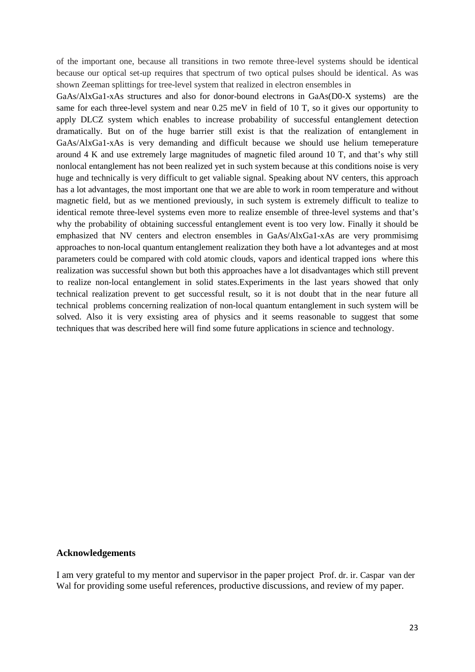of the important one, because all transitions in two remote three-level systems should be identical because our optical set-up requires that spectrum of two optical pulses should be identical. As was shown Zeeman splittings for tree-level system that realized in electron ensembles in

GaAs/AlxGa1-xAs structures and also for donor-bound electrons in GaAs(D0-X systems) are the same for each three-level system and near 0.25 meV in field of 10 T, so it gives our opportunity to apply DLCZ system which enables to increase probability of successful entanglement detection dramatically. But on of the huge barrier still exist is that the realization of entanglement in GaAs/AlxGa1-xAs is very demanding and difficult because we should use helium temeperature around 4 K and use extremely large magnitudes of magnetic filed around 10 T, and that's why still nonlocal entanglement has not been realized yet in such system because at this conditions noise is very huge and technically is very difficult to get valiable signal. Speaking about NV centers, this approach has a lot advantages, the most important one that we are able to work in room temperature and without magnetic field, but as we mentioned previously, in such system is extremely difficult to tealize to identical remote three-level systems even more to realize ensemble of three-level systems and that's why the probability of obtaining successful entanglement event is too very low. Finally it should be emphasized that NV centers and electron ensembles in GaAs/AlxGa1-xAs are very prommisimg approaches to non-local quantum entanglement realization they both have a lot advanteges and at most parameters could be compared with cold atomic clouds, vapors and identical trapped ions where this realization was successful shown but both this approaches have a lot disadvantages which still prevent to realize non-local entanglement in solid states.Experiments in the last years showed that only technical realization prevent to get successful result, so it is not doubt that in the near future all technical problems concerning realization of non-local quantum entanglement in such system will be solved. Also it is very exsisting area of physics and it seems reasonable to suggest that some techniques that was described here will find some future applications in science and technology.

## **Acknowledgements**

I am very grateful to my mentor and supervisor in the paper project Prof. dr. ir. Caspar van der Wal for providing some useful references, productive discussions, and review of my paper.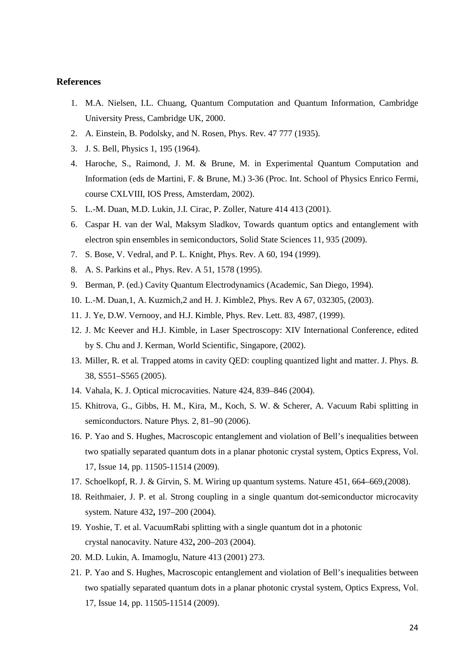#### **References**

- 1. M.A. Nielsen, I.L. Chuang, Quantum Computation and Quantum Information, Cambridge University Press, Cambridge UK, 2000.
- 2. A. Einstein, B. Podolsky, and N. Rosen, Phys. Rev. 47 777 (1935).
- 3. J. S. Bell, Physics 1, 195 (1964).
- 4. Haroche, S., Raimond, J. M. & Brune, M. in Experimental Quantum Computation and Information (eds de Martini, F. & Brune, M.) 3-36 (Proc. Int. School of Physics Enrico Fermi, course CXLVIII, IOS Press, Amsterdam, 2002).
- 5. L.-M. Duan, M.D. Lukin, J.I. Cirac, P. Zoller, Nature 414 413 (2001).
- 6. Caspar H. van der Wal, Maksym Sladkov, Towards quantum optics and entanglement with electron spin ensembles in semiconductors, Solid State Sciences 11, 935 (2009).
- 7. S. Bose, V. Vedral, and P. L. Knight, Phys. Rev. A 60, 194 (1999).
- 8. A. S. Parkins et al., Phys. Rev. A 51, 1578 (1995).
- 9. Berman, P. (ed.) Cavity Quantum Electrodynamics (Academic, San Diego, 1994).
- 10. L.-M. Duan,1, A. Kuzmich,2 and H. J. Kimble2, Phys. Rev A 67, 032305, (2003).
- 11. J. Ye, D.W. Vernooy, and H.J. Kimble, Phys. Rev. Lett. 83, 4987, (1999).
- 12. J. Mc Keever and H.J. Kimble, in Laser Spectroscopy: XIV International Conference, edited by S. Chu and J. Kerman, World Scientific, Singapore, (2002).
- 13. Miller, R*.* et al*.* Trapped atoms in cavity QED: coupling quantized light and matter. J. Phys. *B.*  38, S551–S565 (2005).
- 14. Vahala, K. J. Optical microcavities. Nature 424, 839–846 (2004).
- 15. Khitrova, G., Gibbs, H. M., Kira, M., Koch, S. W. & Scherer, A. Vacuum Rabi splitting in semiconductors. Nature Phys*.* 2, 81–90 (2006).
- 16. P. Yao and S. Hughes, Macroscopic entanglement and violation of Bell's inequalities between two spatially separated quantum dots in a planar photonic crystal system, Optics Express, Vol. 17, Issue 14, pp. 11505-11514 (2009).
- 17. Schoelkopf, R. J. & Girvin, S. M. Wiring up quantum systems. Nature 451, 664–669,(2008).
- 18. Reithmaier, J. P. et al. Strong coupling in a single quantum dot-semiconductor microcavity system. Nature 432**,** 197–200 (2004).
- 19. Yoshie, T. et al. VacuumRabi splitting with a single quantum dot in a photonic crystal nanocavity. Nature 432**,** 200–203 (2004).
- 20. M.D. Lukin, A. Imamoglu, Nature 413 (2001) 273.
- 21. P. Yao and S. Hughes, Macroscopic entanglement and violation of Bell's inequalities between two spatially separated quantum dots in a planar photonic crystal system, Optics Express, Vol. 17, Issue 14, pp. 11505-11514 (2009).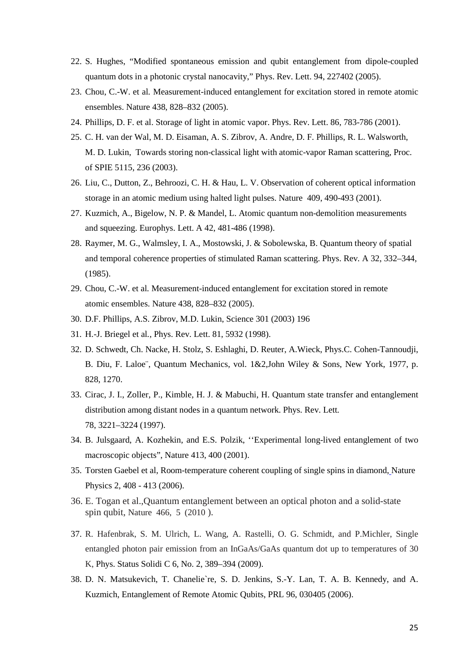- 22. S. Hughes, "Modified spontaneous emission and qubit entanglement from dipole-coupled quantum dots in a photonic crystal nanocavity," Phys. Rev. Lett. 94, 227402 (2005).
- 23. Chou, C.-W. et al*.* Measurement-induced entanglement for excitation stored in remote atomic ensembles. Nature 438, 828–832 (2005).
- 24. Phillips, D. F. et al. Storage of light in atomic vapor. Phys. Rev. Lett. 86, 783-786 (2001).
- 25. C. H. van der Wal, M. D. Eisaman, A. S. Zibrov, A. Andre, D. F. Phillips, R. L. Walsworth, M. D. Lukin, Towards storing non-classical light with atomic-vapor Raman scattering, Proc. of SPIE 5115, 236 (2003).
- 26. Liu, C., Dutton, Z., Behroozi, C. H. & Hau, L. V. Observation of coherent optical information storage in an atomic medium using halted light pulses. Nature 409, 490-493 (2001).
- 27. Kuzmich, A., Bigelow, N. P. & Mandel, L. Atomic quantum non-demolition measurements and squeezing. Europhys. Lett. A 42, 481-486 (1998).
- 28. Raymer, M. G., Walmsley, I. A., Mostowski, J. & Sobolewska, B. Quantum theory of spatial and temporal coherence properties of stimulated Raman scattering. Phys. Rev*.* A 32, 332–344, (1985).
- 29. Chou, C.-W. et al*.* Measurement-induced entanglement for excitation stored in remote atomic ensembles. Nature 438, 828–832 (2005).
- 30. D.F. Phillips, A.S. Zibrov, M.D. Lukin, Science 301 (2003) 196
- 31. H.-J. Briegel et al*.*, Phys. Rev. Lett. 81, 5932 (1998).
- 32. D. Schwedt, Ch. Nacke, H. Stolz, S. Eshlaghi, D. Reuter, A.Wieck, Phys.C. Cohen-Tannoudji, B. Diu, F. Laloe¨, Quantum Mechanics, vol. 1&2,John Wiley & Sons, New York, 1977, p. 828, 1270.
- 33. Cirac, J. I., Zoller, P., Kimble, H. J. & Mabuchi, H. Quantum state transfer and entanglement distribution among distant nodes in a quantum network. Phys. Rev. Lett*.* 78, 3221–3224 (1997).
- 34. B. Julsgaard, A. Kozhekin, and E.S. Polzik, ''Experimental long-lived entanglement of two macroscopic objects", Nature 413, 400 (2001).
- 35. Torsten Gaebel et al, Room-temperature coherent coupling of single spins in diamond, Nature Physics 2, 408 - 413 (2006).
- 36. E. Togan et al.,Quantum entanglement between an optical photon and a solid-state spin qubit, Nature 466, 5 (2010 ).
- 37. R. Hafenbrak, S. M. Ulrich, L. Wang, A. Rastelli, O. G. Schmidt, and P.Michler, Single entangled photon pair emission from an InGaAs/GaAs quantum dot up to temperatures of 30 K, Phys. Status Solidi C 6, No. 2, 389–394 (2009).
- 38. D. N. Matsukevich, T. Chanelie`re, S. D. Jenkins, S.-Y. Lan, T. A. B. Kennedy, and A. Kuzmich, Entanglement of Remote Atomic Qubits, PRL 96, 030405 (2006).